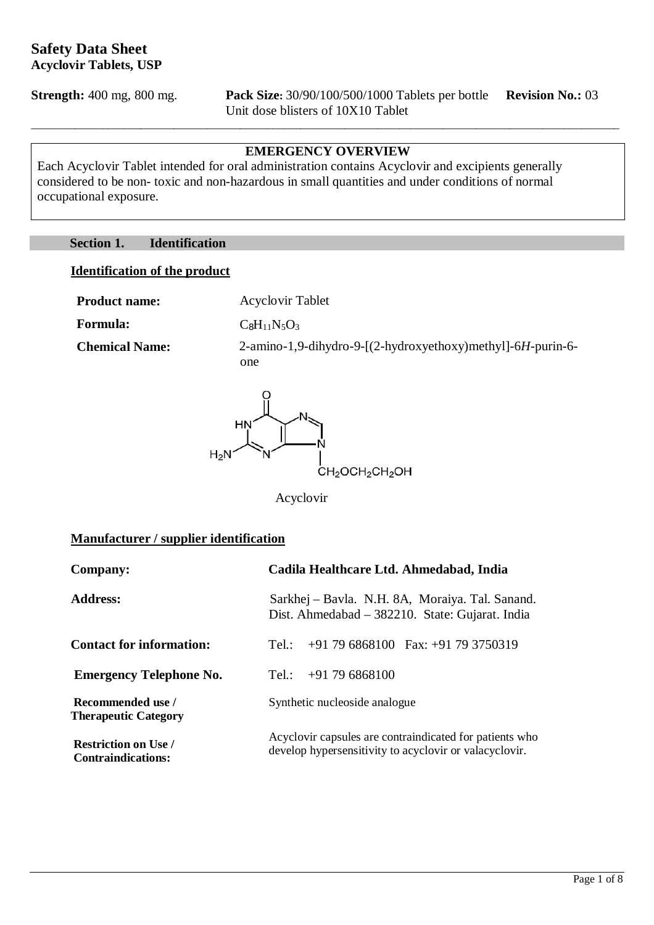**Strength:** 400 mg, 800 mg. **Pack Size:** 30/90/100/500/1000 Tablets per bottle **Revision No.:** 03 Unit dose blisters of 10X10 Tablet

#### **EMERGENCY OVERVIEW**

\_\_\_\_\_\_\_\_\_\_\_\_\_\_\_\_\_\_\_\_\_\_\_\_\_\_\_\_\_\_\_\_\_\_\_\_\_\_\_\_\_\_\_\_\_\_\_\_\_\_\_\_\_\_\_\_\_\_\_\_\_\_\_\_\_\_\_\_\_\_\_\_\_\_\_\_\_\_\_\_\_\_\_\_\_\_\_\_\_\_\_\_\_\_\_\_\_\_\_\_\_\_\_\_\_\_\_

Each Acyclovir Tablet intended for oral administration contains Acyclovir and excipients generally considered to be non- toxic and non-hazardous in small quantities and under conditions of normal occupational exposure.

#### **Section 1. Identification**

#### **Identification of the product**

**Product name:** Acyclovir Tablet **Formula:**  $C_8H_{11}N_5O_3$ 

**Chemical Name:** 2-amino-1,9-dihydro-9-[(2-hydroxyethoxy)methyl]-6*H-*purin-6 one



Acyclovir

#### **Manufacturer / supplier identification**

| <b>Company:</b>                                          | Cadila Healthcare Ltd. Ahmedabad, India                                                                           |  |
|----------------------------------------------------------|-------------------------------------------------------------------------------------------------------------------|--|
| <b>Address:</b>                                          | Sarkhej – Bavla. N.H. 8A, Moraiya. Tal. Sanand.<br>Dist. Ahmedabad – 382210. State: Gujarat. India                |  |
| <b>Contact for information:</b>                          | $+91$ 79 6868100 Fax: $+91$ 79 3750319<br>Tel:                                                                    |  |
| <b>Emergency Telephone No.</b>                           | $+91796868100$<br>Tel.:                                                                                           |  |
| Recommended use /<br><b>Therapeutic Category</b>         | Synthetic nucleoside analogue                                                                                     |  |
| <b>Restriction on Use /</b><br><b>Contraindications:</b> | Acyclovir capsules are contraindicated for patients who<br>develop hypersensitivity to acyclovir or valacyclovir. |  |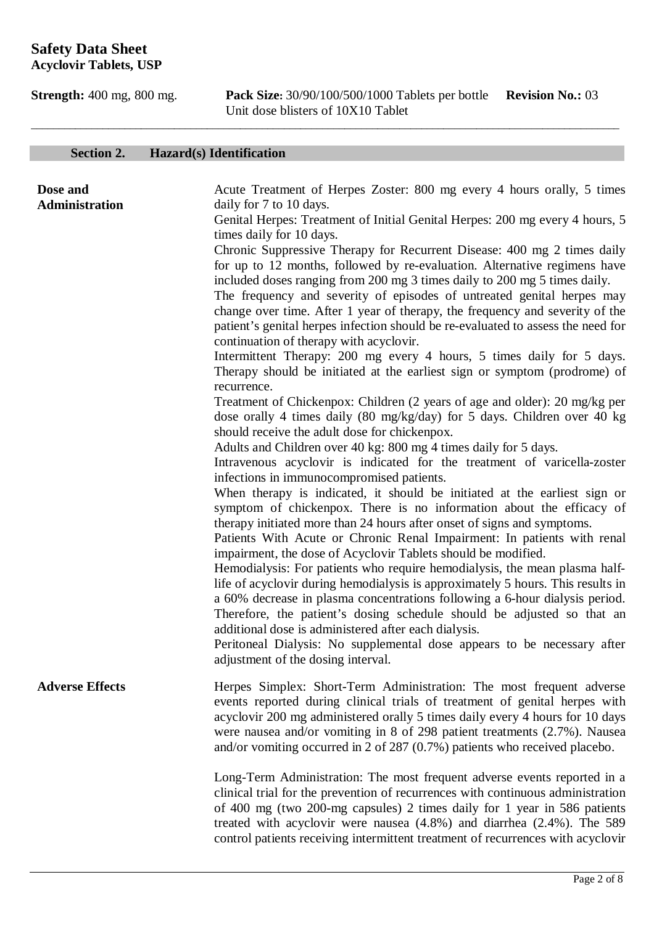**Strength:** 400 mg, 800 mg. **Pack Size:** 30/90/100/500/1000 Tablets per bottle **Revision No.:** 03 Unit dose blisters of 10X10 Tablet

# **Section 2. Hazard(s) Identification**

| Dose and<br>Administration | Acute Treatment of Herpes Zoster: 800 mg every 4 hours orally, 5 times<br>daily for 7 to 10 days.<br>Genital Herpes: Treatment of Initial Genital Herpes: 200 mg every 4 hours, 5<br>times daily for 10 days.<br>Chronic Suppressive Therapy for Recurrent Disease: 400 mg 2 times daily<br>for up to 12 months, followed by re-evaluation. Alternative regimens have<br>included doses ranging from 200 mg 3 times daily to 200 mg 5 times daily.<br>The frequency and severity of episodes of untreated genital herpes may<br>change over time. After 1 year of therapy, the frequency and severity of the<br>patient's genital herpes infection should be re-evaluated to assess the need for<br>continuation of therapy with acyclovir.                                                                                                                                                                              |
|----------------------------|--------------------------------------------------------------------------------------------------------------------------------------------------------------------------------------------------------------------------------------------------------------------------------------------------------------------------------------------------------------------------------------------------------------------------------------------------------------------------------------------------------------------------------------------------------------------------------------------------------------------------------------------------------------------------------------------------------------------------------------------------------------------------------------------------------------------------------------------------------------------------------------------------------------------------|
|                            | Intermittent Therapy: 200 mg every 4 hours, 5 times daily for 5 days.<br>Therapy should be initiated at the earliest sign or symptom (prodrome) of<br>recurrence.<br>Treatment of Chickenpox: Children (2 years of age and older): 20 mg/kg per<br>dose orally 4 times daily (80 mg/kg/day) for 5 days. Children over 40 kg<br>should receive the adult dose for chickenpox.<br>Adults and Children over 40 kg: 800 mg 4 times daily for 5 days.<br>Intravenous acyclovir is indicated for the treatment of varicella-zoster                                                                                                                                                                                                                                                                                                                                                                                             |
|                            | infections in immunocompromised patients.<br>When therapy is indicated, it should be initiated at the earliest sign or<br>symptom of chickenpox. There is no information about the efficacy of<br>therapy initiated more than 24 hours after onset of signs and symptoms.<br>Patients With Acute or Chronic Renal Impairment: In patients with renal<br>impairment, the dose of Acyclovir Tablets should be modified.<br>Hemodialysis: For patients who require hemodialysis, the mean plasma half-<br>life of acyclovir during hemodialysis is approximately 5 hours. This results in<br>a 60% decrease in plasma concentrations following a 6-hour dialysis period.<br>Therefore, the patient's dosing schedule should be adjusted so that an<br>additional dose is administered after each dialysis.<br>Peritoneal Dialysis: No supplemental dose appears to be necessary after<br>adjustment of the dosing interval. |
| <b>Adverse Effects</b>     | Herpes Simplex: Short-Term Administration: The most frequent adverse<br>events reported during clinical trials of treatment of genital herpes with<br>acyclovir 200 mg administered orally 5 times daily every 4 hours for 10 days<br>were nausea and/or vomiting in 8 of 298 patient treatments (2.7%). Nausea<br>and/or vomiting occurred in 2 of 287 $(0.7%)$ patients who received placebo.                                                                                                                                                                                                                                                                                                                                                                                                                                                                                                                          |
|                            | Long-Term Administration: The most frequent adverse events reported in a<br>clinical trial for the prevention of recurrences with continuous administration<br>of 400 mg (two 200-mg capsules) 2 times daily for 1 year in 586 patients<br>treated with acyclovir were nausea $(4.8%)$ and diarrhea $(2.4%)$ . The 589<br>control patients receiving intermittent treatment of recurrences with acyclovir                                                                                                                                                                                                                                                                                                                                                                                                                                                                                                                |

\_\_\_\_\_\_\_\_\_\_\_\_\_\_\_\_\_\_\_\_\_\_\_\_\_\_\_\_\_\_\_\_\_\_\_\_\_\_\_\_\_\_\_\_\_\_\_\_\_\_\_\_\_\_\_\_\_\_\_\_\_\_\_\_\_\_\_\_\_\_\_\_\_\_\_\_\_\_\_\_\_\_\_\_\_\_\_\_\_\_\_\_\_\_\_\_\_\_\_\_\_\_\_\_\_\_\_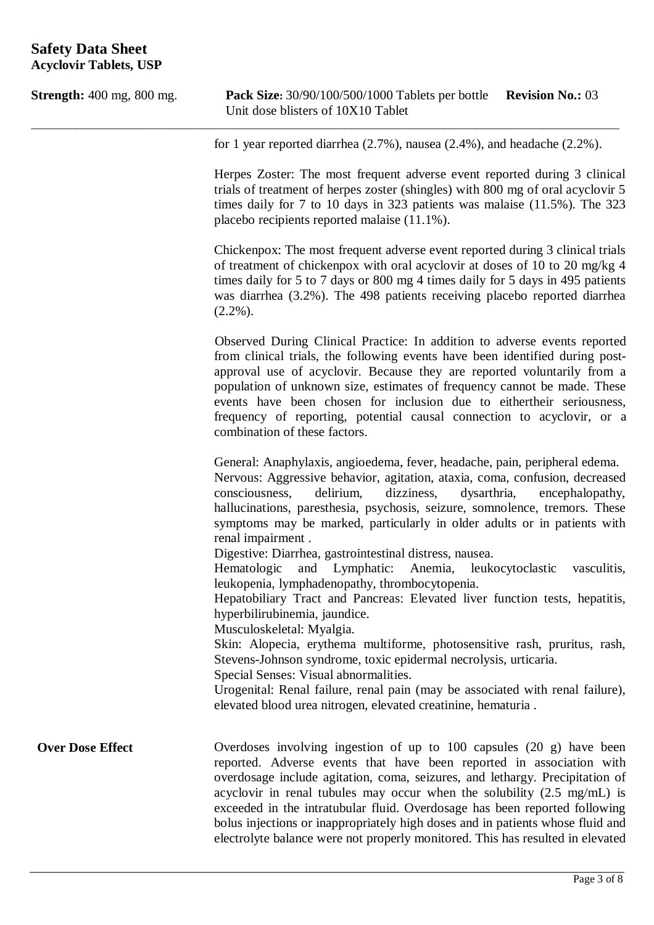| <b>Strength:</b> 400 mg, 800 mg.                                                                                                                                                         | <b>Pack Size:</b> 30/90/100/500/1000 Tablets per bottle<br><b>Revision No.: 03</b><br>Unit dose blisters of 10X10 Tablet                                                                                                                                                                                                                                                                                                                                                                                                                                                                                                                                                                                                                                                                                                                                                                                          |
|------------------------------------------------------------------------------------------------------------------------------------------------------------------------------------------|-------------------------------------------------------------------------------------------------------------------------------------------------------------------------------------------------------------------------------------------------------------------------------------------------------------------------------------------------------------------------------------------------------------------------------------------------------------------------------------------------------------------------------------------------------------------------------------------------------------------------------------------------------------------------------------------------------------------------------------------------------------------------------------------------------------------------------------------------------------------------------------------------------------------|
|                                                                                                                                                                                          | for 1 year reported diarrhea $(2.7\%)$ , nausea $(2.4\%)$ , and headache $(2.2\%)$ .                                                                                                                                                                                                                                                                                                                                                                                                                                                                                                                                                                                                                                                                                                                                                                                                                              |
|                                                                                                                                                                                          | Herpes Zoster: The most frequent adverse event reported during 3 clinical<br>trials of treatment of herpes zoster (shingles) with 800 mg of oral acyclovir 5<br>times daily for 7 to 10 days in 323 patients was malaise $(11.5\%)$ . The 323<br>placebo recipients reported malaise (11.1%).                                                                                                                                                                                                                                                                                                                                                                                                                                                                                                                                                                                                                     |
|                                                                                                                                                                                          | Chickenpox: The most frequent adverse event reported during 3 clinical trials<br>of treatment of chickenpox with oral acyclovir at doses of 10 to 20 mg/kg 4<br>times daily for 5 to 7 days or 800 mg 4 times daily for 5 days in 495 patients<br>was diarrhea (3.2%). The 498 patients receiving placebo reported diarrhea<br>$(2.2\%)$ .                                                                                                                                                                                                                                                                                                                                                                                                                                                                                                                                                                        |
|                                                                                                                                                                                          | Observed During Clinical Practice: In addition to adverse events reported<br>from clinical trials, the following events have been identified during post-<br>approval use of acyclovir. Because they are reported voluntarily from a<br>population of unknown size, estimates of frequency cannot be made. These<br>events have been chosen for inclusion due to either their seriousness,<br>frequency of reporting, potential causal connection to acyclovir, or a<br>combination of these factors.                                                                                                                                                                                                                                                                                                                                                                                                             |
| consciousness,<br>delirium,<br>renal impairment.<br>Hematologic<br>and Lymphatic:<br>hyperbilirubinemia, jaundice.<br>Musculoskeletal: Myalgia.<br>Special Senses: Visual abnormalities. | General: Anaphylaxis, angioedema, fever, headache, pain, peripheral edema.<br>Nervous: Aggressive behavior, agitation, ataxia, coma, confusion, decreased<br>dizziness,<br>dysarthria,<br>encephalopathy,<br>hallucinations, paresthesia, psychosis, seizure, somnolence, tremors. These<br>symptoms may be marked, particularly in older adults or in patients with<br>Digestive: Diarrhea, gastrointestinal distress, nausea.<br>vasculitis,<br>Anemia,<br>leukocytoclastic<br>leukopenia, lymphadenopathy, thrombocytopenia.<br>Hepatobiliary Tract and Pancreas: Elevated liver function tests, hepatitis,<br>Skin: Alopecia, erythema multiforme, photosensitive rash, pruritus, rash,<br>Stevens-Johnson syndrome, toxic epidermal necrolysis, urticaria.<br>Urogenital: Renal failure, renal pain (may be associated with renal failure),<br>elevated blood urea nitrogen, elevated creatinine, hematuria. |
| <b>Over Dose Effect</b>                                                                                                                                                                  | Overdoses involving ingestion of up to 100 capsules (20 g) have been<br>reported. Adverse events that have been reported in association with<br>overdosage include agitation, coma, seizures, and lethargy. Precipitation of<br>acyclovir in renal tubules may occur when the solubility $(2.5 \text{ mg/mL})$ is<br>exceeded in the intratubular fluid. Overdosage has been reported following<br>bolus injections or inappropriately high doses and in patients whose fluid and<br>electrolyte balance were not properly monitored. This has resulted in elevated                                                                                                                                                                                                                                                                                                                                               |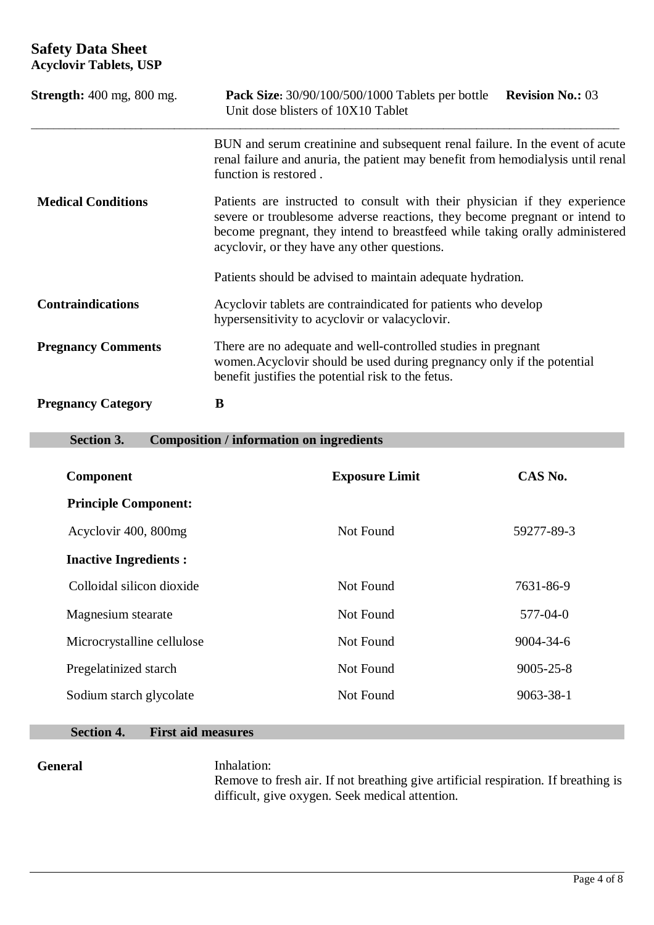| <b>Strength:</b> 400 mg, 800 mg. | <b>Pack Size:</b> 30/90/100/500/1000 Tablets per bottle<br><b>Revision No.: 03</b><br>Unit dose blisters of 10X10 Tablet                                                                                                                                                                |  |
|----------------------------------|-----------------------------------------------------------------------------------------------------------------------------------------------------------------------------------------------------------------------------------------------------------------------------------------|--|
|                                  | BUN and serum creatinine and subsequent renal failure. In the event of acute<br>renal failure and anuria, the patient may benefit from hemodialysis until renal<br>function is restored.                                                                                                |  |
| <b>Medical Conditions</b>        | Patients are instructed to consult with their physician if they experience<br>severe or troublesome adverse reactions, they become pregnant or intend to<br>become pregnant, they intend to breastfeed while taking orally administered<br>acyclovir, or they have any other questions. |  |
|                                  | Patients should be advised to maintain adequate hydration.                                                                                                                                                                                                                              |  |
| <b>Contraindications</b>         | Acyclovir tablets are contraindicated for patients who develop<br>hypersensitivity to acyclovir or valacyclovir.                                                                                                                                                                        |  |
| <b>Pregnancy Comments</b>        | There are no adequate and well-controlled studies in pregnant<br>women. Acyclovir should be used during pregnancy only if the potential<br>benefit justifies the potential risk to the fetus.                                                                                           |  |
| <b>Pregnancy Category</b>        | B                                                                                                                                                                                                                                                                                       |  |

#### **Section 3. Composition / information on ingredients**

| <b>Component</b>             | <b>Exposure Limit</b> | CAS No.         |
|------------------------------|-----------------------|-----------------|
| <b>Principle Component:</b>  |                       |                 |
| Acyclovir 400, 800mg         | Not Found             | 59277-89-3      |
| <b>Inactive Ingredients:</b> |                       |                 |
| Colloidal silicon dioxide    | Not Found             | 7631-86-9       |
| Magnesium stearate           | Not Found             | 577-04-0        |
| Microcrystalline cellulose   | Not Found             | $9004 - 34 - 6$ |
| Pregelatinized starch        | Not Found             | $9005 - 25 - 8$ |
| Sodium starch glycolate      | Not Found             | $9063 - 38 - 1$ |

#### **Section 4. First aid measures**

General Inhalation:

Remove to fresh air. If not breathing give artificial respiration. If breathing is difficult, give oxygen. Seek medical attention.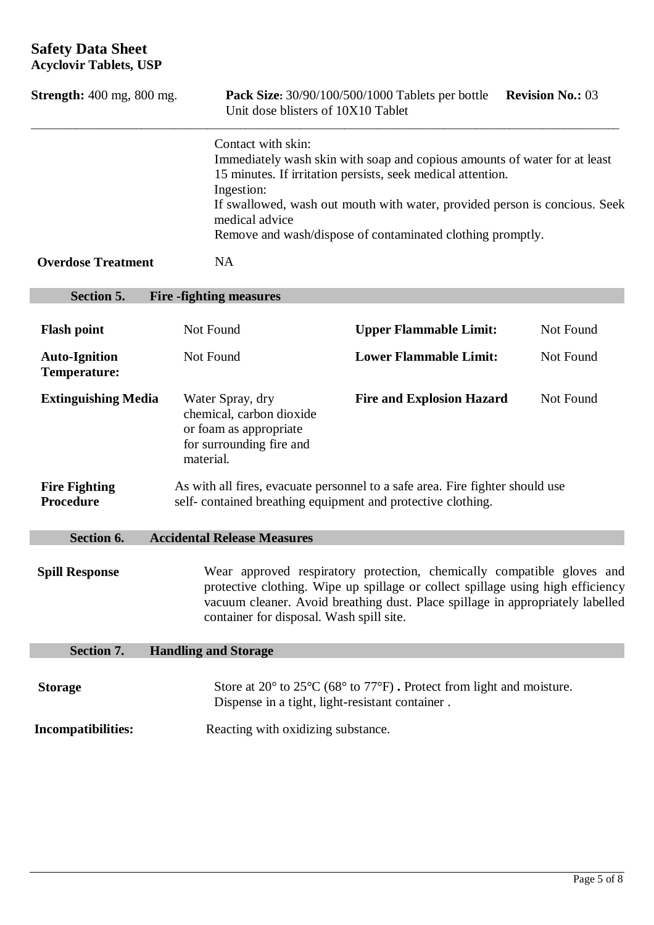| <b>Strength:</b> 400 mg, 800 mg.            | Unit dose blisters of 10X10 Tablet                                                                                                                                                                                                                                                      | <b>Pack Size:</b> 30/90/100/500/1000 Tablets per bottle                                                                                                                                                                                                                              | <b>Revision No.: 03</b> |
|---------------------------------------------|-----------------------------------------------------------------------------------------------------------------------------------------------------------------------------------------------------------------------------------------------------------------------------------------|--------------------------------------------------------------------------------------------------------------------------------------------------------------------------------------------------------------------------------------------------------------------------------------|-------------------------|
|                                             | Contact with skin:<br>Ingestion:<br>medical advice                                                                                                                                                                                                                                      | Immediately wash skin with soap and copious amounts of water for at least<br>15 minutes. If irritation persists, seek medical attention.<br>If swallowed, wash out mouth with water, provided person is concious. Seek<br>Remove and wash/dispose of contaminated clothing promptly. |                         |
| <b>Overdose Treatment</b>                   | <b>NA</b>                                                                                                                                                                                                                                                                               |                                                                                                                                                                                                                                                                                      |                         |
| Section 5.                                  | <b>Fire -fighting measures</b>                                                                                                                                                                                                                                                          |                                                                                                                                                                                                                                                                                      |                         |
| <b>Flash point</b>                          | Not Found                                                                                                                                                                                                                                                                               | <b>Upper Flammable Limit:</b>                                                                                                                                                                                                                                                        | Not Found               |
| <b>Auto-Ignition</b><br><b>Temperature:</b> | Not Found                                                                                                                                                                                                                                                                               | <b>Lower Flammable Limit:</b>                                                                                                                                                                                                                                                        | Not Found               |
| <b>Extinguishing Media</b>                  | Water Spray, dry<br>chemical, carbon dioxide<br>or foam as appropriate<br>for surrounding fire and<br>material.                                                                                                                                                                         | <b>Fire and Explosion Hazard</b>                                                                                                                                                                                                                                                     | Not Found               |
| <b>Fire Fighting</b><br>Procedure           | self-contained breathing equipment and protective clothing.                                                                                                                                                                                                                             | As with all fires, evacuate personnel to a safe area. Fire fighter should use                                                                                                                                                                                                        |                         |
| Section 6.                                  | <b>Accidental Release Measures</b>                                                                                                                                                                                                                                                      |                                                                                                                                                                                                                                                                                      |                         |
| <b>Spill Response</b>                       | Wear approved respiratory protection, chemically compatible gloves and<br>protective clothing. Wipe up spillage or collect spillage using high efficiency<br>vacuum cleaner. Avoid breathing dust. Place spillage in appropriately labelled<br>container for disposal. Wash spill site. |                                                                                                                                                                                                                                                                                      |                         |
| Section 7.                                  | <b>Handling and Storage</b>                                                                                                                                                                                                                                                             |                                                                                                                                                                                                                                                                                      |                         |
| <b>Storage</b>                              | Dispense in a tight, light-resistant container.                                                                                                                                                                                                                                         | Store at $20^{\circ}$ to $25^{\circ}$ C (68° to $77^{\circ}$ F). Protect from light and moisture.                                                                                                                                                                                    |                         |
| Incompatibilities:                          | Reacting with oxidizing substance.                                                                                                                                                                                                                                                      |                                                                                                                                                                                                                                                                                      |                         |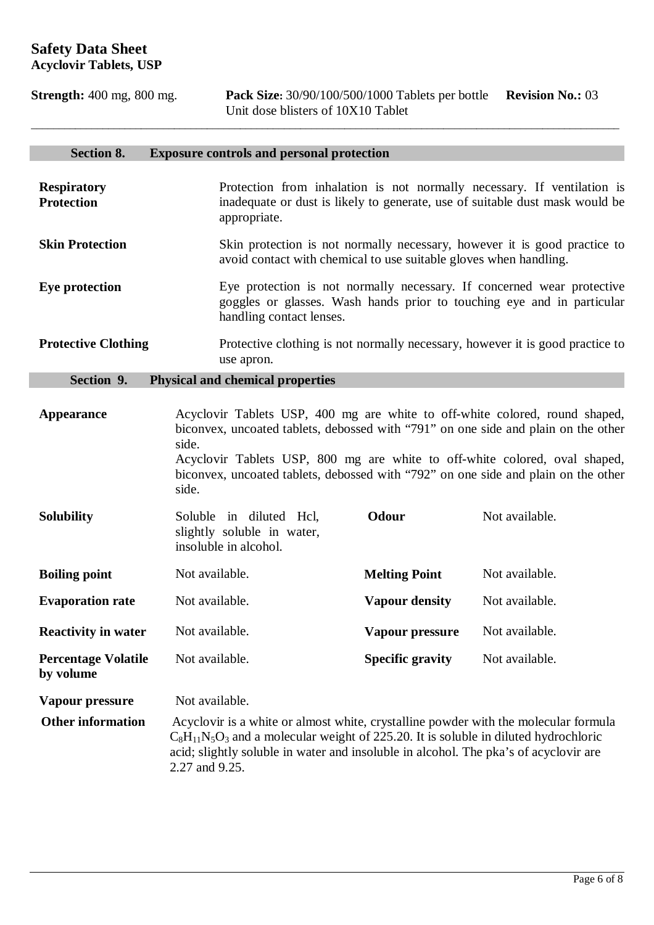**Strength:** 400 mg, 800 mg. **Pack Size:** 30/90/100/500/1000 Tablets per bottle **Revision No.:** 03 Unit dose blisters of 10X10 Tablet

# **Section 8. Exposure controls and personal protection**

| <b>Respiratory</b><br><b>Protection</b> | Protection from inhalation is not normally necessary. If ventilation is<br>inadequate or dust is likely to generate, use of suitable dust mask would be<br>appropriate.                                                                                                                                                                                 |                                                                                                                                                  |                |
|-----------------------------------------|---------------------------------------------------------------------------------------------------------------------------------------------------------------------------------------------------------------------------------------------------------------------------------------------------------------------------------------------------------|--------------------------------------------------------------------------------------------------------------------------------------------------|----------------|
| <b>Skin Protection</b>                  | Skin protection is not normally necessary, however it is good practice to<br>avoid contact with chemical to use suitable gloves when handling.                                                                                                                                                                                                          |                                                                                                                                                  |                |
| Eye protection                          | handling contact lenses.                                                                                                                                                                                                                                                                                                                                | Eye protection is not normally necessary. If concerned wear protective<br>goggles or glasses. Wash hands prior to touching eye and in particular |                |
| <b>Protective Clothing</b>              | use apron.                                                                                                                                                                                                                                                                                                                                              | Protective clothing is not normally necessary, however it is good practice to                                                                    |                |
| Section 9.                              | <b>Physical and chemical properties</b>                                                                                                                                                                                                                                                                                                                 |                                                                                                                                                  |                |
| <b>Appearance</b>                       | Acyclovir Tablets USP, 400 mg are white to off-white colored, round shaped,<br>biconvex, uncoated tablets, debossed with "791" on one side and plain on the other<br>side.<br>Acyclovir Tablets USP, 800 mg are white to off-white colored, oval shaped,<br>biconvex, uncoated tablets, debossed with "792" on one side and plain on the other<br>side. |                                                                                                                                                  |                |
| <b>Solubility</b>                       | Soluble in diluted Hcl,<br>slightly soluble in water,<br>insoluble in alcohol.                                                                                                                                                                                                                                                                          | Odour                                                                                                                                            | Not available. |
| <b>Boiling point</b>                    | Not available.                                                                                                                                                                                                                                                                                                                                          | <b>Melting Point</b>                                                                                                                             | Not available. |
| <b>Evaporation rate</b>                 | Not available.                                                                                                                                                                                                                                                                                                                                          | <b>Vapour density</b>                                                                                                                            | Not available. |
| <b>Reactivity in water</b>              | Not available.                                                                                                                                                                                                                                                                                                                                          | Vapour pressure                                                                                                                                  | Not available. |
| <b>Percentage Volatile</b><br>by volume | Not available.                                                                                                                                                                                                                                                                                                                                          | <b>Specific gravity</b>                                                                                                                          | Not available. |
| Vapour pressure                         | Not available.                                                                                                                                                                                                                                                                                                                                          |                                                                                                                                                  |                |
| <b>Other information</b>                | Acyclovir is a white or almost white, crystalline powder with the molecular formula<br>$C_8H_{11}N_5O_3$ and a molecular weight of 225.20. It is soluble in diluted hydrochloric<br>acid; slightly soluble in water and insoluble in alcohol. The pka's of acyclovir are<br>2.27 and 9.25.                                                              |                                                                                                                                                  |                |

\_\_\_\_\_\_\_\_\_\_\_\_\_\_\_\_\_\_\_\_\_\_\_\_\_\_\_\_\_\_\_\_\_\_\_\_\_\_\_\_\_\_\_\_\_\_\_\_\_\_\_\_\_\_\_\_\_\_\_\_\_\_\_\_\_\_\_\_\_\_\_\_\_\_\_\_\_\_\_\_\_\_\_\_\_\_\_\_\_\_\_\_\_\_\_\_\_\_\_\_\_\_\_\_\_\_\_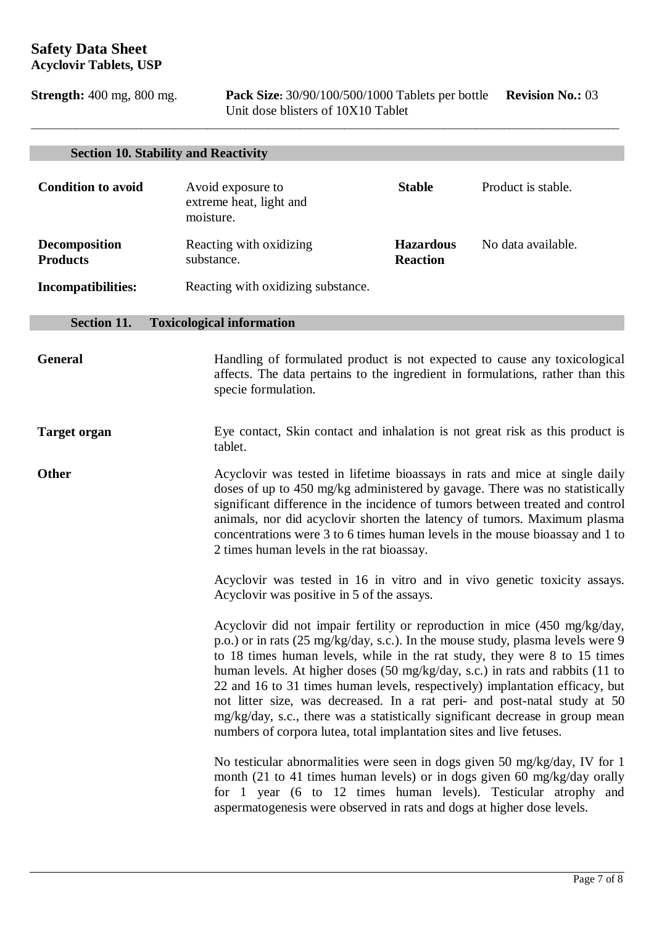**Strength:** 400 mg, 800 mg. **Pack Size:** 30/90/100/500/1000 Tablets per bottle **Revision No.:** 03 Unit dose blisters of 10X10 Tablet

|                                         | <b>Section 10. Stability and Reactivity</b>                                                                                                                                                                                                                                                                                                                                                                                                                                                                                                                                                                                                       |                                                                                                                                                                                                                                                                                                                                                                                                                                                      |                    |
|-----------------------------------------|---------------------------------------------------------------------------------------------------------------------------------------------------------------------------------------------------------------------------------------------------------------------------------------------------------------------------------------------------------------------------------------------------------------------------------------------------------------------------------------------------------------------------------------------------------------------------------------------------------------------------------------------------|------------------------------------------------------------------------------------------------------------------------------------------------------------------------------------------------------------------------------------------------------------------------------------------------------------------------------------------------------------------------------------------------------------------------------------------------------|--------------------|
| <b>Condition to avoid</b>               | Avoid exposure to<br>extreme heat, light and<br>moisture.                                                                                                                                                                                                                                                                                                                                                                                                                                                                                                                                                                                         | <b>Stable</b>                                                                                                                                                                                                                                                                                                                                                                                                                                        | Product is stable. |
| <b>Decomposition</b><br><b>Products</b> | Reacting with oxidizing<br>substance.                                                                                                                                                                                                                                                                                                                                                                                                                                                                                                                                                                                                             | <b>Hazardous</b><br><b>Reaction</b>                                                                                                                                                                                                                                                                                                                                                                                                                  | No data available. |
| <b>Incompatibilities:</b>               | Reacting with oxidizing substance.                                                                                                                                                                                                                                                                                                                                                                                                                                                                                                                                                                                                                |                                                                                                                                                                                                                                                                                                                                                                                                                                                      |                    |
| Section 11.                             | <b>Toxicological information</b>                                                                                                                                                                                                                                                                                                                                                                                                                                                                                                                                                                                                                  |                                                                                                                                                                                                                                                                                                                                                                                                                                                      |                    |
| <b>General</b>                          | Handling of formulated product is not expected to cause any toxicological<br>affects. The data pertains to the ingredient in formulations, rather than this<br>specie formulation.                                                                                                                                                                                                                                                                                                                                                                                                                                                                |                                                                                                                                                                                                                                                                                                                                                                                                                                                      |                    |
| <b>Target organ</b>                     | tablet.                                                                                                                                                                                                                                                                                                                                                                                                                                                                                                                                                                                                                                           | Eye contact, Skin contact and inhalation is not great risk as this product is                                                                                                                                                                                                                                                                                                                                                                        |                    |
| <b>Other</b>                            |                                                                                                                                                                                                                                                                                                                                                                                                                                                                                                                                                                                                                                                   | Acyclovir was tested in lifetime bioassays in rats and mice at single daily<br>doses of up to 450 mg/kg administered by gavage. There was no statistically<br>significant difference in the incidence of tumors between treated and control<br>animals, nor did acyclovir shorten the latency of tumors. Maximum plasma<br>concentrations were 3 to 6 times human levels in the mouse bioassay and 1 to<br>2 times human levels in the rat bioassay. |                    |
|                                         | Acyclovir was tested in 16 in vitro and in vivo genetic toxicity assays.<br>Acyclovir was positive in 5 of the assays.                                                                                                                                                                                                                                                                                                                                                                                                                                                                                                                            |                                                                                                                                                                                                                                                                                                                                                                                                                                                      |                    |
|                                         | Acyclovir did not impair fertility or reproduction in mice (450 mg/kg/day,<br>p.o.) or in rats (25 mg/kg/day, s.c.). In the mouse study, plasma levels were 9<br>to 18 times human levels, while in the rat study, they were 8 to 15 times<br>human levels. At higher doses (50 mg/kg/day, s.c.) in rats and rabbits (11 to<br>22 and 16 to 31 times human levels, respectively) implantation efficacy, but<br>not litter size, was decreased. In a rat peri- and post-natal study at 50<br>mg/kg/day, s.c., there was a statistically significant decrease in group mean<br>numbers of corpora lutea, total implantation sites and live fetuses. |                                                                                                                                                                                                                                                                                                                                                                                                                                                      |                    |
|                                         | No testicular abnormalities were seen in dogs given 50 mg/kg/day, IV for 1<br>month (21 to 41 times human levels) or in dogs given 60 mg/kg/day orally<br>for 1 year (6 to 12 times human levels). Testicular atrophy and<br>aspermatogenesis were observed in rats and dogs at higher dose levels.                                                                                                                                                                                                                                                                                                                                               |                                                                                                                                                                                                                                                                                                                                                                                                                                                      |                    |

\_\_\_\_\_\_\_\_\_\_\_\_\_\_\_\_\_\_\_\_\_\_\_\_\_\_\_\_\_\_\_\_\_\_\_\_\_\_\_\_\_\_\_\_\_\_\_\_\_\_\_\_\_\_\_\_\_\_\_\_\_\_\_\_\_\_\_\_\_\_\_\_\_\_\_\_\_\_\_\_\_\_\_\_\_\_\_\_\_\_\_\_\_\_\_\_\_\_\_\_\_\_\_\_\_\_\_